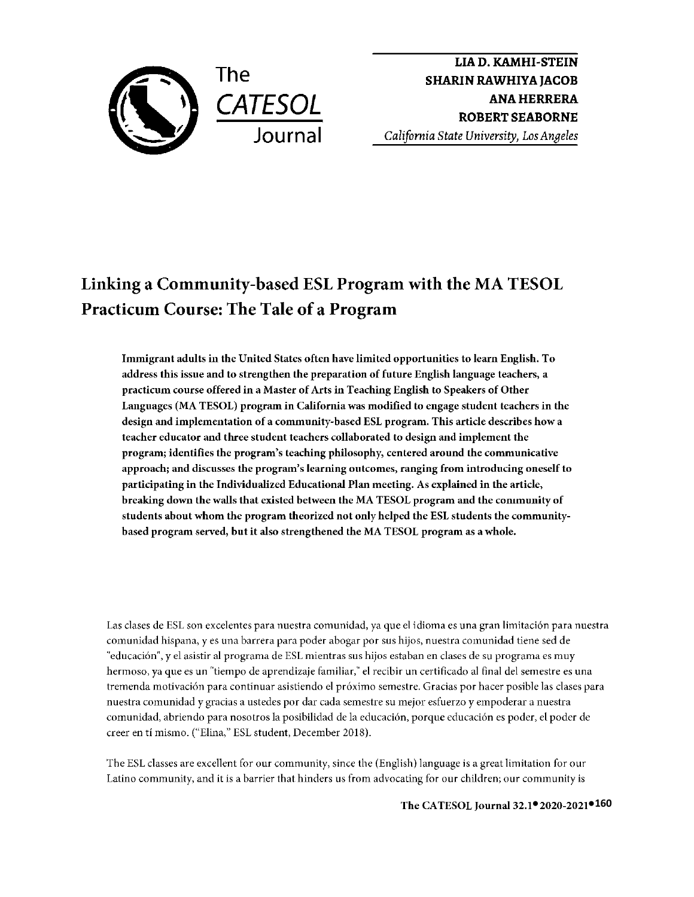

**LIA D. KAMHI-STEIN SHARIN RAWHIYA JACOB ANA HERRERA ROBERT SEABORNE**  *California State University, Los Angeles* 

# **Linking a Community-based ESL Program with the MA TESOL Practicum Course: The Tale of a Program**

**Immigrant adults in the United States often have limited opportunities to learn English. To address this issue and to strengthen the preparation of future English language teachers, a practicum course offered in a Master of Arts in Teaching English to Speakers of Other Languages (MA TESOL) program in California was modified to engage student teachers in the design and implementation of a community-based ESL program. This article describes how a teacher educator and three student teachers collaborated to design and implement the program; identifies the program's teaching philosophy, centered around the communicative approach; and discusses the program's learning outcomes, ranging from introducing oneself to participating in the Individualized Educational Plan meeting. As explained in the article, breaking down the walls that existed between the MA TESOL program and the community of students about whom the program theorized not only helped the ESL students the communitybased program served, but it also strengthened the MA TESOL program as a whole.** 

Las clases de ESL son excelentes para nuestra comunidad, ya que el idioma es una gran limitaci6n para nuestra comunidad hispana, yes una barrera para poder abogar par sus hijos, nuestra comunidad tiene sed de ''educaci6n", y el asistir al programa de ESL mientras sus hijos estaban en clases de su programa es muy hermoso, ya que es un "tiempo de aprendizaje familiar," el recibir un certificado al final del semestre es una tremenda motivaci6n para continuar asistiendo el pr6ximo semestre. Gracias por hacer posible las clases para nuestra comunidad y gracias a ustedes par dar cada semestre su mejor esfuerzo y empoderar a nuestra comunidad, abriendo para nosotros la posibilidad de la educaci6n, porque educaci6n es poder, el poder de creer en ti mismo. ("Elina," ESL student, December 2018).

The ESL classes are excellent for our community, since the (English) language is a great limitation for our Latino community, and it is a barrier that hinders us from advocating for our children; our community is

**● ●160 The CA TESOL Journal 32.1 2020-2021**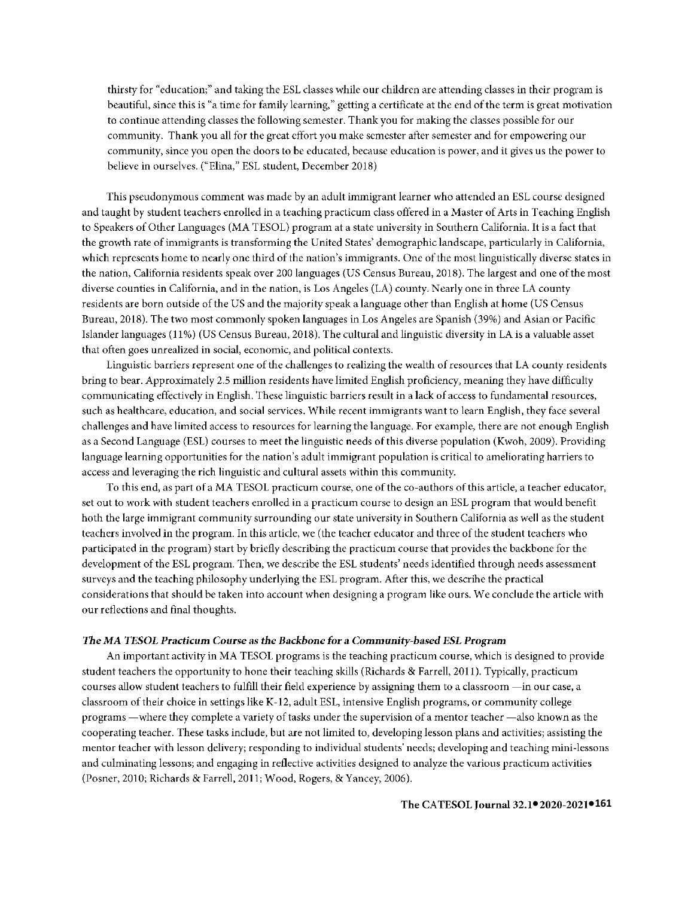thirsty for "education;" and taking the ESL classes while our children are attending classes in their program is beautiful, since this is "a time for family learning," getting a certificate at the end of the term is great motivation to continue attending classes the following semester. Thank you for making the classes possible for our community. Thank you all for the great effort you make semester after semester and for empowering our community, since you open the doors to be educated, because education is power, and it gives us the power to believe in ourselves. ("Elina," ESL student, December 2018)

This pseudonymous comment was made by an adult immigrant learner who attended an ESL course designed and taught by student teachers enrolled in a teaching practicum class offered in a Master of Arts in Teaching English to Speakers of Other Languages (MA TESOL) program at a state university in Southern California. It is a fact that the growth rate of immigrants is transforming the United States' demographic landscape, particularly in California, which represents home to nearly one third of the nation's immigrants. One of the most linguistically diverse states in the nation, California residents speak over 200 languages (US Census Bureau, 2018). The largest and one of the most diverse counties in California, and in the nation, is Los Angeles (LA) county. Nearly one in three LA county residents are born outside of the US and the majority speak a language other than English at home (US Census Bureau, 2018). The two most commonly spoken languages in Los Angeles are Spanish (39%) and Asian or Pacific ]slander languages (11 %) (US Census Bureau, 2018). The cultural and linguistic diversity in LA is a valuable asset that often goes unrealized in social, economic, and political contexts.

Linguistic barriers represent one of the challenges to realizing the wealth of resources that LA county residents bring to bear. Approximately 2.5 million residents have limited English proficiency, meaning they have difficulty communicating effectively in English. These linguistic barriers result in a lack of access to fundamental resources, such as healthcare, education, and social services. While recent immigrants want to learn English, they face several challenges and have limited access to resources for learning the language. For example, there are not enough English as a Second Language (ESL) courses to meet the linguistic needs of this diverse population (Kwoh, 2009). Providing language learning opportunities for the nation's adult immigrant population is critical to ameliorating barriers to access and leveraging the rich linguistic and cultural assets within this community.

To this end, as part of a MA TESOL practicum course, one of the co-authors of this article, a teacher educator, set out to work with student teachers enrolled in a practicum course to design an ESL program that would benefit both the large immigrant community surrounding our state university in Southern California as well as the student teachers involved in the program. In this article, we (the teacher educator and three of the student teachers who participated in the program) start by briefly describing the practicum course that provides the backbone for the development of the ESL program. Then, we describe the ESL students' needs identified through needs assessment surveys and the teaching philosophy underlying the ESL program. After this, we describe the practical considerations that should be taken into account when designing a program like ours. We conclude **the** article with our reflections and final thoughts.

#### *The MA TESOL Practicum Course* **as** *the Backbone for* **a Comm** *unity-based ESL Program*

An important activity in MA TESOL programs is the teaching practicum course, which is designed to provide student teachers the opportunity to hone their teaching skills (Richards & Farrell, 2011 ). Typically, practicum courses allow student teachers to fulfill their field experience by assigning them to a classroom -in our case, a classroom of their choice in settings like K-12, adult ESL, intensive English programs, or community college programs —where they complete a variety of tasks under the supervision of a mentor teacher —also known as the cooperating teacher. These tasks include, but are not limited to, developing lesson plans and activities; assisting the mentor teacher with lesson delivery; responding to individual students' needs; developing and teaching mini-lessons and culminating lessons; and engaging in reflective activities designed to analyze the various practicum activities (Posner, 2010; Richards & Farrell, 2011; Wood, Rogers, & Yancey, 2006).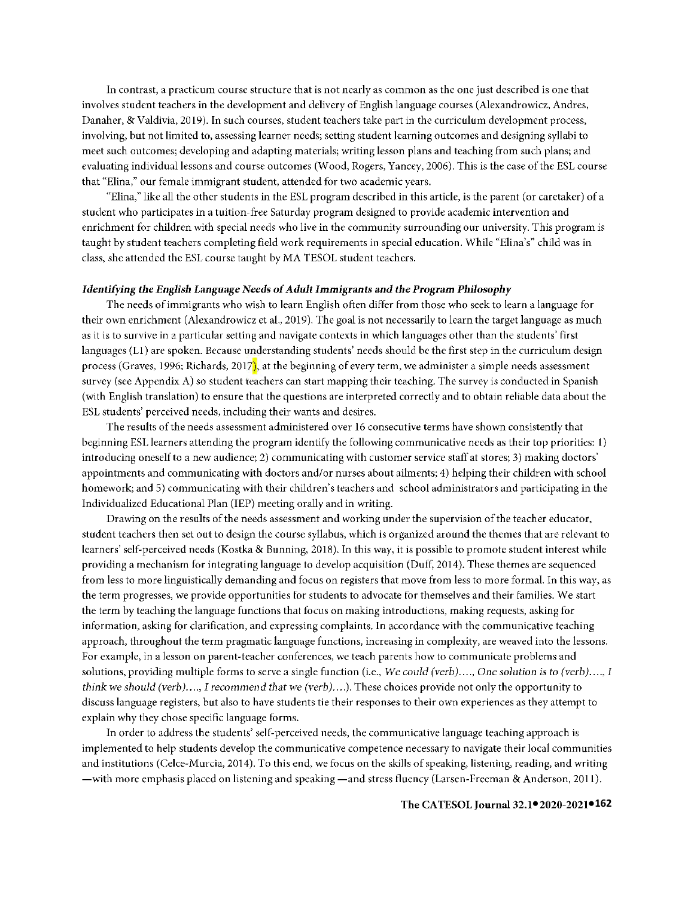ln contrast, a practicum course structure that is not nearly as common as the one just described is one that involves student teachers in the development **and** delivery of English language courses (Alexandrowicz, Andres, Danaher, & Valdivia, 2019). In such courses, student teachers take part in the curriculum development process, involving, but not limited to, assessing learner needs; setting student learning outcomes and designing syllabi to meet such outcomes; developing and adapting materials; writing lesson plans and teaching from such plans; and evaluating individual lessons and course outcomes (Wood, Rogers, Yancey, 2006). This is the case of the ESL course that "Elina," our female immigrant student, attended for two academic years.

"Elina," like all the other students in the ESL program described in this article, is the parent (or caretaker) of a student who participates **in** a tuition-free Saturday program designed to provide academic intervention and enrichment for children with special needs who live in the community surrounding our university. This program is taught by student teachers completing field work requirements in special education. While "Elina's" child was in class, she attended the ESL course taught by MA TESOL student teachers.

#### *Identifying the English Language Needs of Adult Immigrants* **and** *the Program Philosophy*

The needs of immigrants who wish to learn English often differ from those who seek to learn a language for their own enrichment (Alexandrowicz ct al., 2019). The goal is not necessarily to learn the target language as much as it is to survive in a particular setting and navigate contexts in which languages other than the students' first languages (Ll) are spoken. Because understanding students' needs should be the first step in the curriculum design process (Graves, 1996; Richards, 2017), at the beginning of every term, we administer a simple needs assessment survey (see Appendix A) so student teachers can start mapping their teaching. The survey is conducted in Spanish (with English translation) to ensure that the questions are interpreted correctly and to obtain reliable data about the ESL students' perceived needs, including their wants and desires.

The results of the needs assessment administered over 16 consecutive terms have shown consistently that beginning ESL learners attending the program identify the following communicative needs as their top priorities: l) introducing oneself to a new audience; 2) communicating with customer service staff at stores; 3) making doctors' appointments and communicating with doctors and/or nurses about ailments; 4) helping their children with school homework; and 5) communicating with their children's teachers and school administrators and participating in the lndividualized Educational Plan (IEP) meeting orally and in writing.

Drawing on the results of the needs assessment and working under the supervision of the teacher educator, student teachers then set out to design the course syllabus, which is organized around the themes that are relevant to learners' self-perceived needs (Kostka & Bunning, 2018). In this way, it is possible to promote student interest while providing a mechanism for integrating language to develop acquisition (Duff, 2014). These themes are sequenced from less to more linguistically demanding and focus on registers that move from less to more formal. In this way, as the term progresses, we provide opportunities for students to advocate for themselves and their families. We start the term by teaching the language functions that focus on making introductions, making requests, asking for information, asking for clarification, and expressing complaints. In accordance with the communicative teaching approach, throughout the term pragmatic language functions, increasing in complexity, are weaved into the lessons. For example, in a lesson on parent-teacher conferences, we teach parents how to communicate problems and solutions, providing multiple forms to serve a single function (i.e., *We could (verb) .... , One solution is to (verb) .... , I think we should (verb)...., I recommend that we (verb)....*). These choices provide not only the opportunity to discuss language registers, but also to have students tie their responses to their own experiences as they attempt to explain why they chose specific language forms.

In order to address the students' self-perceived needs, the communicative language teaching approach is implemented to help students develop the communicative competence necessary to navigate their local communities and institutions (Celce-Murcia, 2014). To this end, we focus on the skills of speaking, listening, reading, and writing -with more emphasis placed on listening and speaking - and stress fluency (Larsen-Freeman & Anderson, 2011).

#### **● ●162** The CATESOL Journal 32.1 2020-2021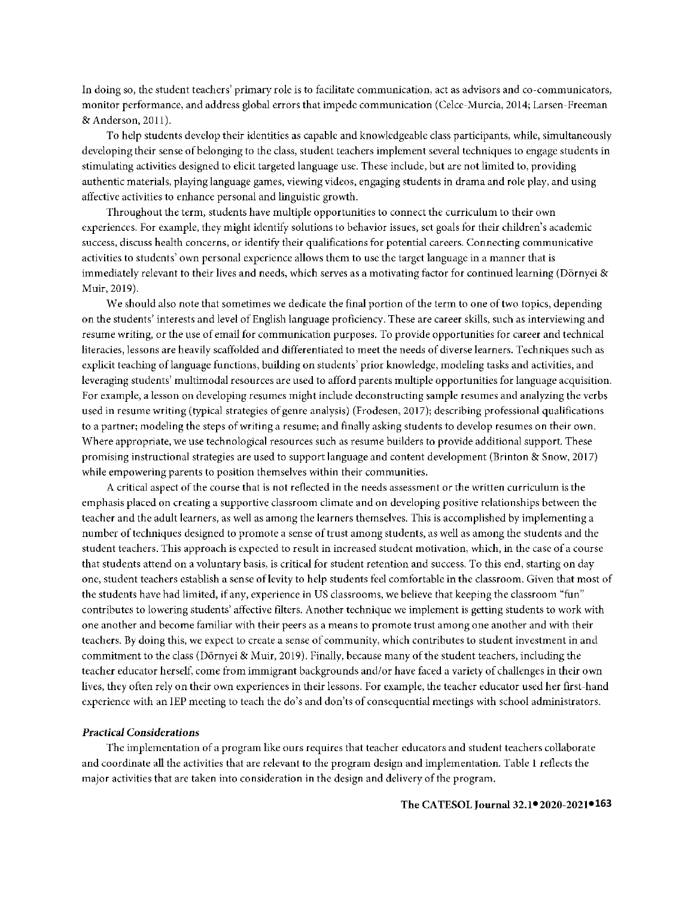ln doing so, the student teachers' primary role is to facilitate communication, act as advisors and co-communicators, monitor performance, and address global errors that impede communication (Celce-Murcia, 2014; Larsen-Freeman & Anderson, 2011).

To help students develop their identities as capable and knowledgeable class participants, while, simultaneously developing their sense of belonging to the class, student teachers implement several techniques to engage students in stimulating activities designed to elicit targeted language use. These include, but are not limited to, providing authentic materials, playing language games, viewing videos, engaging students in drama and role play, and using affective activities to enhance personal and linguistic growth.

Throughout the term, students have multiple opportunities to connect the curriculum to their own experiences. For example, they might identify solutions to behavior issues, set goals for their children's academic success, discuss health concerns, or identify their qualifications for potential careers. Connecting communicative activities to students' own personal experience allows them to use the target language in a manner that is immediately relevant to their lives and needs, which serves as a motivating factor for continued learning (Dörnyei & Muir, 2019).

We should also note that sometimes we dedicate the final portion of the term to one of two topics, depending on the students' interests and level of English language proficiency. These are career skills, such as interviewing and resume writing, or the use of email for communication purposes. To provide opportunities for career and technical literacies, lessons are heavily scaffolded and differentiated to meet the needs of diverse learners. Techniques such as explicit teaching oflanguage functions, building on students' prior knowledge, modeling tasks and activities, and leveraging students' multimodal resources are used to afford parents multiple opportunities for language acquisition. For example, a lesson on developing resumes might include deconstructing sample resumes and analyzing the verbs used in resume writing (typical strategies of genre analysis) (Frodesen, 2017); describing professional qualifications to a partner; modeling the steps of writing a resume; and finally asking students to develop resumes on their own. Where appropriate, we use technological resources such as resume builders to provide additional support. These promising instructional strategies are used to support language and content development (Brinton & Snow, 2017) while empowering parents to position themselves within their communities.

A critical aspect of the course that is not reflected in the needs assessment or the written curriculum is the emphasis placed on creating a supportive classroom climate and on developing positive relationships between the teacher and the adult learners, as well as among the learners themselves. This is accomplished by implementing a number of techniques designed to promote a sense of trust among students, as well as among the students and the student teachers. This approach is expected to result in increased student motivation, which, in the case of a course that students attend on a voluntary basis, is critical for student retention and success. To this end, starting on day one, student teachers establish a sense oflevity to help students feel comfortable in the classroom. Given that most of the students have had limited, if any, experience in US classrooms, we believe that keeping the classroom "fun" contributes to lowering students' affective filters. Another technique we implement is getting students to work with one another and become familiar with their peers as a means to promote trust among one another and with their teachers. By doing this, we expect to create a sense of community, which contributes to student investment in and commitment to the class (Dornyei & Muir, 2019). Finally, because many of the student teachers, including the teacher educator herself, come from immigrant backgrounds and/or have faced a variety of challenges in their own lives, they often rely on their own experiences in their lessons. For example, the teacher educator used her first-hand experience with an lEP meeting to teach the do's and don'ts of consequential meetings with school administrators.

#### *Practical Considerations*

The implementation of a program like ours requires that teacher educators and student teachers collaborate and coordinate all the activities that are relevant to the program design and implementation. Table 1 reflects the major activities that are taken into consideration in the design and delivery of the program.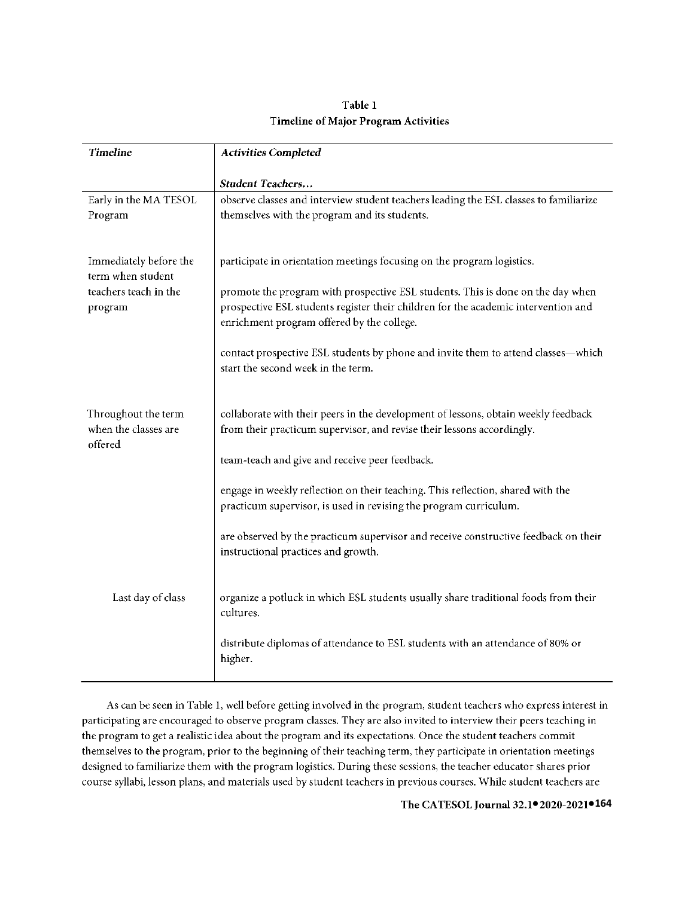# **Table** I **Timeline of Major Program Activities**

| <b>Activities Completed</b>                                                                                                                                           |
|-----------------------------------------------------------------------------------------------------------------------------------------------------------------------|
| <b>Student Teachers</b>                                                                                                                                               |
| observe classes and interview student teachers leading the ESL classes to familiarize                                                                                 |
| themselves with the program and its students.                                                                                                                         |
|                                                                                                                                                                       |
| participate in orientation meetings focusing on the program logistics.                                                                                                |
|                                                                                                                                                                       |
| promote the program with prospective ESL students. This is done on the day when<br>prospective ESL students register their children for the academic intervention and |
| enrichment program offered by the college.                                                                                                                            |
| contact prospective ESL students by phone and invite them to attend classes-which                                                                                     |
| start the second week in the term.                                                                                                                                    |
|                                                                                                                                                                       |
| collaborate with their peers in the development of lessons, obtain weekly feedback                                                                                    |
| from their practicum supervisor, and revise their lessons accordingly.                                                                                                |
| team-teach and give and receive peer feedback.                                                                                                                        |
|                                                                                                                                                                       |
| engage in weekly reflection on their teaching. This reflection, shared with the                                                                                       |
| practicum supervisor, is used in revising the program curriculum.                                                                                                     |
| are observed by the practicum supervisor and receive constructive feedback on their                                                                                   |
| instructional practices and growth.                                                                                                                                   |
|                                                                                                                                                                       |
| organize a potluck in which ESL students usually share traditional foods from their                                                                                   |
| cultures.                                                                                                                                                             |
| distribute diplomas of attendance to ESL students with an attendance of 80% or                                                                                        |
| higher.                                                                                                                                                               |
|                                                                                                                                                                       |

As can be seen in Table 1, well before getting involved in the program, student teachers who express interest in participating are encouraged to observe program classes. They are also invited to interview their peers teaching in the program to get a realistic idea about the program and its expectations. Once the student teachers commit themselves to the program, prior to the beginning of their teaching term, they participate in orientation meetings designed to familiarize them with the program logistics. During these sessions, the teacher educator shares prior course syllabi, lesson plans, and materials used by student teachers in previous courses. While student teachers are

**● ●164** The CATESOL Journal 32.1 2020-2021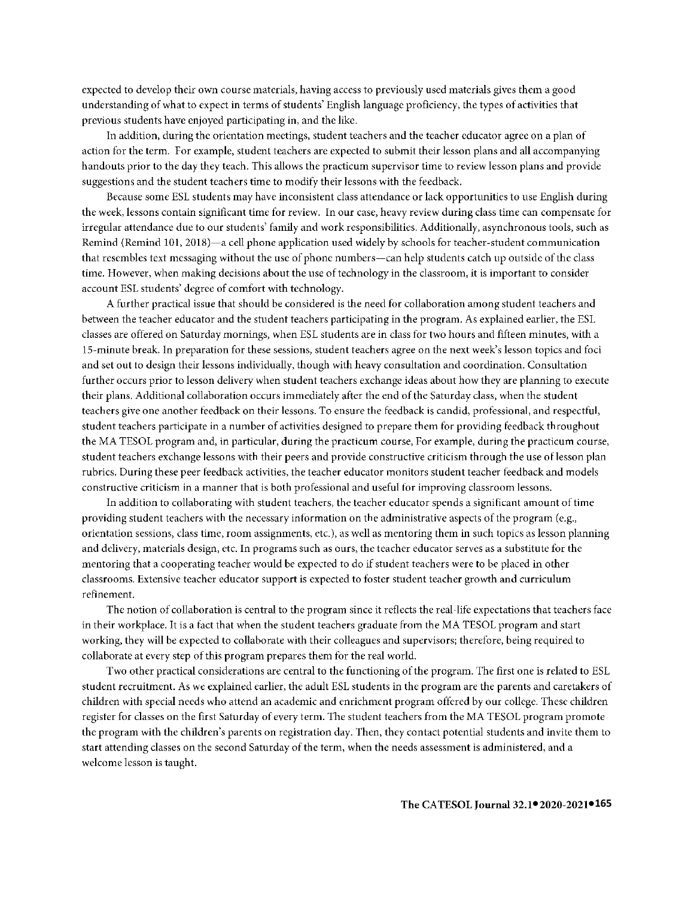expected to develop their own course materials, having access to previously used materials gives them a good understanding of what to expect in terms of students' English language proficiency, the types of activities that previous students have enjoyed participating in, and the like.

ln addition, during the orientation meetings, student teachers and the teacher educator agree on a plan of action for the term. For example, student teachers are expected to submit their lesson plans and all accompanying handouts prior to the day they teach. This allows the practicum supervisor time to review lesson plans and provide suggestions and the student teachers time to modify their lessons with the feedback.

Because some ESL students may have inconsistent class attendance or lack opportunities to use English during the week, lessons contain significant time for review. In our case, heavy review during class time can compensate for irregular attendance due to our students' family and work responsibilities. Additionally, asynchronous tools, such as Remind (Remind 101, 2018)-a cell phone application used widely by schools for teacher-student communication that resembles text messaging without the use of phone numbers-can help students catch up outside of the class time. However, when making decisions about the use of technology in the classroom, it is important to consider account ESL students' degree of comfort with technology.

A further practical issue that should be considered is the need for collaboration among student teachers and between the teacher educator and the student teachers participating in the program. As explained earlier, the ESL classes are offered on Saturday mornings, when ESL students are in class for two hours and fifteen minutes, with a 15-minute break. ln preparation for these sessions, student teachers agree on the next week's lesson topics and foci and set out to design their lessons individually, though with heavy consultation and coordination. Consultation further occurs prior to lesson delivery when student teachers exchange ideas about how they are planning to execute their plans. Additional collaboration occurs immediately after the end of the Saturday class, when the student teachers give one another feedback on their lessons. To ensure the feedback is candid, professional, and respectful, student teachers participate in a number of activities designed to prepare them for providing feedback throughout the MA TESOL program and, in particular, during the practicum course, For example, during the practicum course, student teachers exchange lessons with their peers and provide constructive criticism through the use oflesson plan rubrics. During these peer feedback activities, the teacher educator monitors student teacher feedback and models constructive criticism in a manner that is both professional and useful for improving classroom lessons.

ln addition to collaborating with student teachers, the teacher educator spends a significant amount of time providing student teachers with the necessary information on the administrative aspects of the program (e.g., orientation sessions, class time, room assignments, etc.), as well as mentoring them in such topics as lesson planning and delivery, materials design, etc. In programs such as ours, the teacher educator serves as a substitute for the mentoring that a cooperating teacher would be expected to do if student teachers were to be placed in other classrooms. Extensive teacher educator support is expected to foster student teacher growth and curriculum refinement.

The notion of collaboration is central to the program since it reflects the real-life expectations that teachers face in their workplace. It is a fact that when the student teachers graduate from the MA TESOL program and start working, they will be expected to collaborate with their colleagues and supervisors; therefore, being required to collaborate at every step of this program prepares them for the real world.

Two other practical considerations are central to the functioning of the program. The first one is related to ESL student recruitment. As we explained earlier, the adult ESL students in the program are the parents and caretakers of children with special needs who attend an academic and enrichment program offered by our college. These children register for classes on the first Saturday of every term. The student teachers from the MA TESOL program promote the program with the children's parents on registration day. Then, they contact potential students and invite them to start attending classes on the second Saturday of the term, when the needs assessment is administered, and a welcome lesson is taught.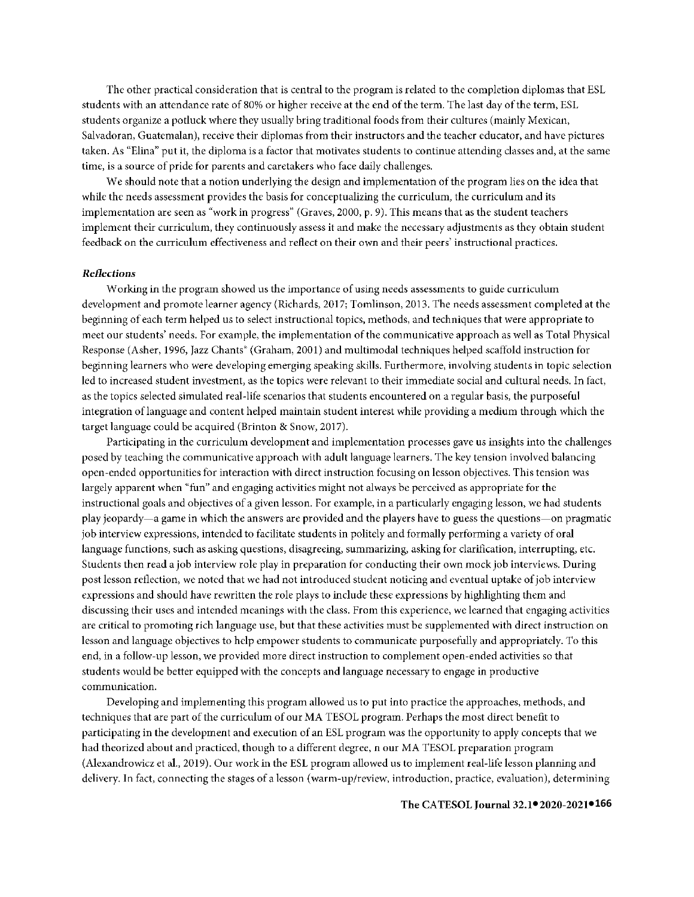The other practical consideration that is central to the program is related to the completion diplomas that ESL students with an attendance rate of 80% or higher receive at the end of the term. The last day of the term, ESL students organize a potluck where they usually bring traditional foods from their cultures (mainly Mexican, Salvadoran, Guatemalan), receive their diplomas from their instructors and the teacher educator, and have pictures taken. As "Elina" put it, the diploma is a factor that motivates students to continue attending classes and, at the same time, is a source of pride for parents and caretakers who face daily challenges.

We should note that a notion underlying the design and implementation of the program lies on the idea that while the needs assessment provides the basis for conceptualizing the curriculum, the curriculum and its implementation are seen as "work in progress" (Graves, 2000, p. 9). This means that as the student teachers implement their curriculum, they continuously assess it and make the necessary adjustments as they obtain student feedback on the curriculum effectiveness and reflect on their own and their peers' instructional practices.

#### *Reflections*

Working in the program showed us the importance of using needs assessments to guide curriculum development and promote learner agency (Richards, 2017; Tomlinson, 2013. The needs assessment completed at the beginning of each term helped us to select instructional topics, methods, and techniques that were appropriate to meet our students' needs. For example, the implementation of the communicative approach as well as Total Physical Response (Asher, 1996, Jazz Chants" (Graham, 2001) and multimodal techniques helped scaffold instruction for beginning learners who were developing emerging speaking skills. Furthermore, involving students in topic selection led to increased student investment, as the topics were relevant to their immediate social and cultural needs. In fact, as the topics selected simulated real-life scenarios that students encountered on a regular basis, the purposeful integration of language and content helped maintain student interest while providing a medium through which the target language could be acquired (Brinton & Snow, 2017).

Participating in the curriculum development and implementation processes gave us insights into the challenges posed by teaching the communicative approach with adult language learners. The key tension involved balancing open-ended opportunities for interaction with direct instruction focusing on lesson objectives. This tension was largely apparent when "fun" and engaging activities might not always be perceived as appropriate for the instructional goals and objectives of a given lesson. For example, in a particularly engaging lesson, we had students play jeopardy-a game in which the answers are provided and the players have to guess the questions-on pragmatic job interview expressions, intended to facilitate students in politely and formally performing a variety of oral language functions, such as asking questions, disagreeing, summarizing, asking for clarification, interrupting, etc. Students then read a job interview role play in preparation for conducting their own mock job interviews. During post lesson reflection, we noted that we had not introduced student noticing and eventual uptake of job interview expressions and should have rewritten the role plays to include these expressions by highlighting them and discussing their uses and intended meanings with the class. From this experience, we learned that engaging activities are critical to promoting rich language use, but that these activities must be supplemented with direct instruction on lesson and language objectives to help empower students to communicate purposefully and appropriately. To this end, in a follow-up lesson, we provided more direct instruction to complement open-ended activities so that students would be better equipped with the concepts and language necessary to engage in productive communication.

Developing and implementing this program allowed us to put into practice the approaches, methods, and techniques that are part of the curriculum of our MA TESOL program. Perhaps the most direct benefit to participating in the development and execution of an ESL program was the opportunity to apply concepts that we had theorized about and practiced, though to a different degree, n our MA TESOL preparation program (Alexandrowicz et al., 2019). Our work in the ESL program allowed us to implement real-life lesson planning and delivery. In fact, connecting the stages of a lesson (warm-up/review, introduction, practice, evaluation), determining

#### **● ●166** The CATESOL Journal 32.1 2020-2021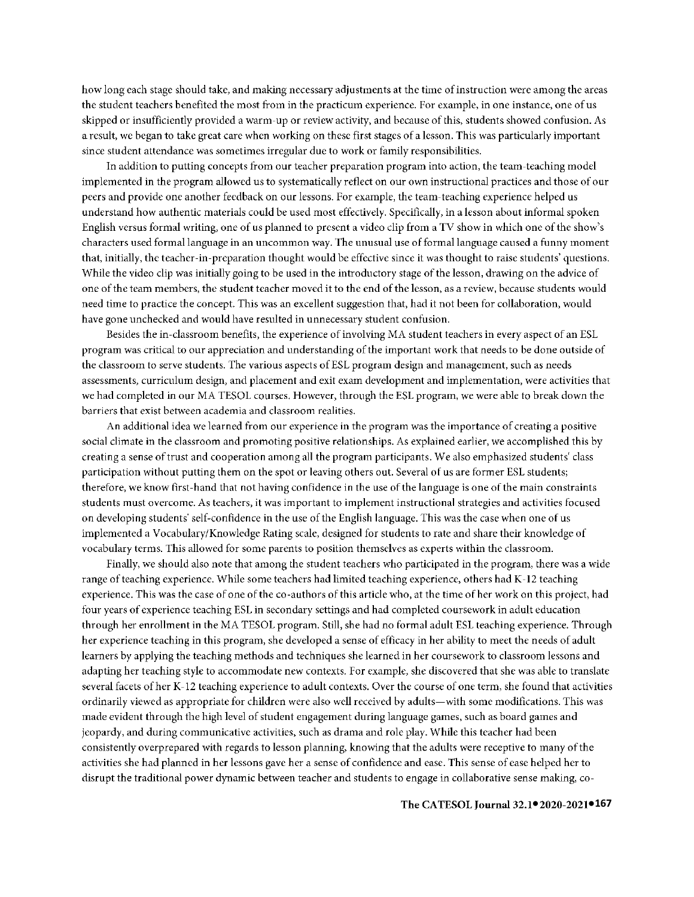how long each stage should take, and making necessary adjustments at the time of instruction were among the areas the student teachers benefited the most from in the practicum experience. For example, in one instance, one of us skipped or insufficiently provided a warm-up or review activity, and because of this, students showed confusion. As a result, we began to take great care when working on these first stages of a lesson. This was particularly important since student attendance was sometimes irregular due to work or family responsibilities.

ln addition to putting concepts from our teacher preparation program into action, the team-teaching model implemented in the program allowed us to systematically reflect on our own instructional practices and those of our peers and provide one another feedback on our lessons. For example, the team-teaching experience helped us understand how authentic materials could be used most effectively. Specifically, in a lesson about informal spoken English versus formal writing, one of us planned to present a video clip from a TV show in which one of the show's characters used formal language in an uncommon way. The unusual use of formal language caused a funny moment that, initially, the teacher-in-preparation thought would be effective since it was thought to raise students' questions. While the video clip was initially going to be used in the introductory stage of the lesson, drawing on the advice of one of the team members, the student teacher moved it to the end of the lesson, as a review, because students would need time to practice the concept. This was an excellent suggestion that, had it not been for collaboration, would have gone unchecked and would have resulted in unnecessary student confusion.

Besides the in-classroom benefits, the experience of involving MA student teachers in every aspect of an ESL program was critical to our appreciation and understanding of the important work that needs to be done outside of the classroom to serve students. The various aspects of ESL program design and management, such as needs assessments, curriculum design, and placement and exit exam development and implementation, were activities that we had completed in our MA TESOL courses. However, through the ESL program, we were able to break down the barriers that exist between academia and classroom realities.

An additional idea we learned from our experience in the program was the importance of creating a positive social climate in the classroom and promoting positive relationships. As explained earlier, we accomplished this by creating a sense of trust and cooperation among all the program participants. We also emphasized students' class participation without putting them on the spot or leaving others out. Several of us are former ESL students; therefore, we know first-hand that not having confidence in the use of the language is one of the main constraints students must overcome. *As* teachers, it was important to implement instructional strategies and activities focused on developing students' self-confidence in the use of the English language. This was the case when one of us implemented a Vocabulary/Knowledge Rating scale, designed for students to rate and share their knowledge of vocabulary terms. This allowed for some parents to position themselves as experts within the classroom.

Finally, we should also note that among the student teachers who participated in the program, there was a wide range of teaching experience. While some teachers had limited teaching experience, others had K-12 teaching experience. This was the case of one of the co-authors of this article who, at the time of her work on this project, had four years of experience teaching ESL in secondary settings and had completed coursework in adult education through her enrollment in the MA TESOL program. Still, she had no formal adult ESL teaching experience. Through her experience teaching in this program, she developed a sense of efficacy in her ability to meet the needs of adult learners by applying the teaching methods and techniques she learned in her coursework to classroom lessons and adapting her teaching style to accommodate new contexts. For example, she discovered that she was able to translate several facets of her K-12 teaching experience to adult contexts. Over the course of one term, she found that activities ordinarily viewed as appropriate for children were also well received by adults-with some modifications. This was made evident through the high level of student engagement during language games, such as board games and jeopardy, and during communicative activities, such as drama and role play. While this teacher had been consistently overprepared with regards to lesson planning, knowing that the adults were receptive to many of the activities she had planned in her lessons gave her a sense of confidence and ease. This sense of ease helped her to disrupt the traditional power dynamic between teacher and students to engage in collaborative sense making, co-

#### **● ●167** The CATESOL Journal 32.1 2020-2021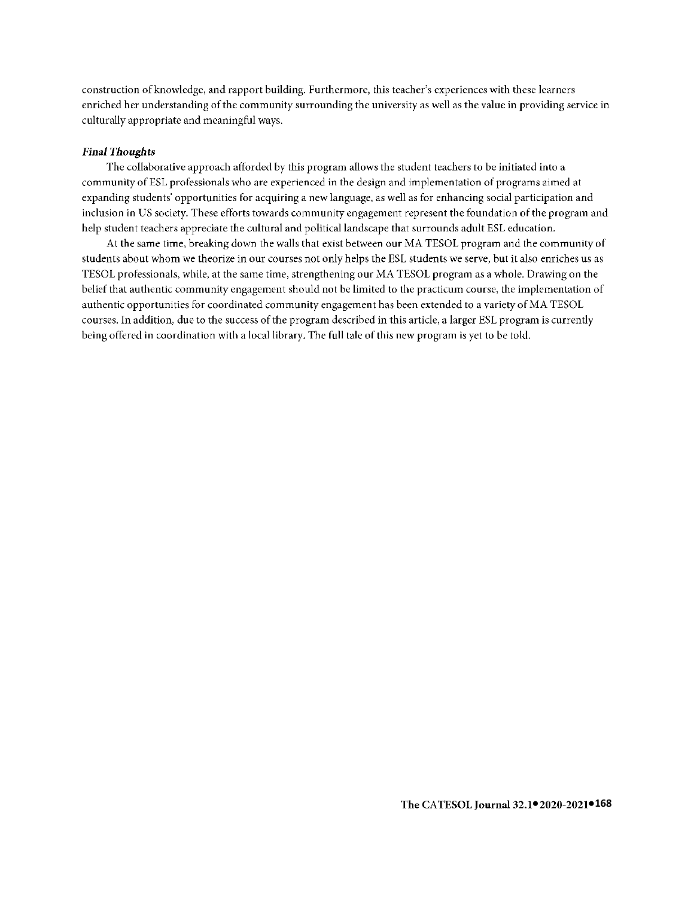construction of knowledge, and rapport building. Furthermore, this teacher's experiences with these learners enriched her understanding of the community surrounding the university as well as the value in providing service in culturally appropriate and meaningful ways.

### *Final Thoughts*

The collaborative approach afforded by this program allows the student teachers to be initiated into a community of ESL professionals who are experienced in the design and implementation of programs aimed at expanding students· opportunities for acquiring a new language, as well as for enhancing social participation and inclusion in US society. These efforts towards community engagement represent the foundation of the program and help student teachers appreciate the cultural and political landscape that surrounds adult ESL education.

At the same time, breaking down the walls that exist between our MA TESOL program and the community of students about whom we theorize in our courses not only helps the ESL students we serve, but it also enriches us as TESOL professionals, while, at the same time, strengthening our MA TESOL program as a whole. Drawing on the belief that authentic community engagement should not be limited to the practicum course, the implementation of authentic opportunities for coordinated community engagement has been extended to a variety of MA TESOL courses. In addition, due to the success of the program described in this article, a larger ESL program is currently being offered in coordination with a local library. The full tale of this new program is yet to be told.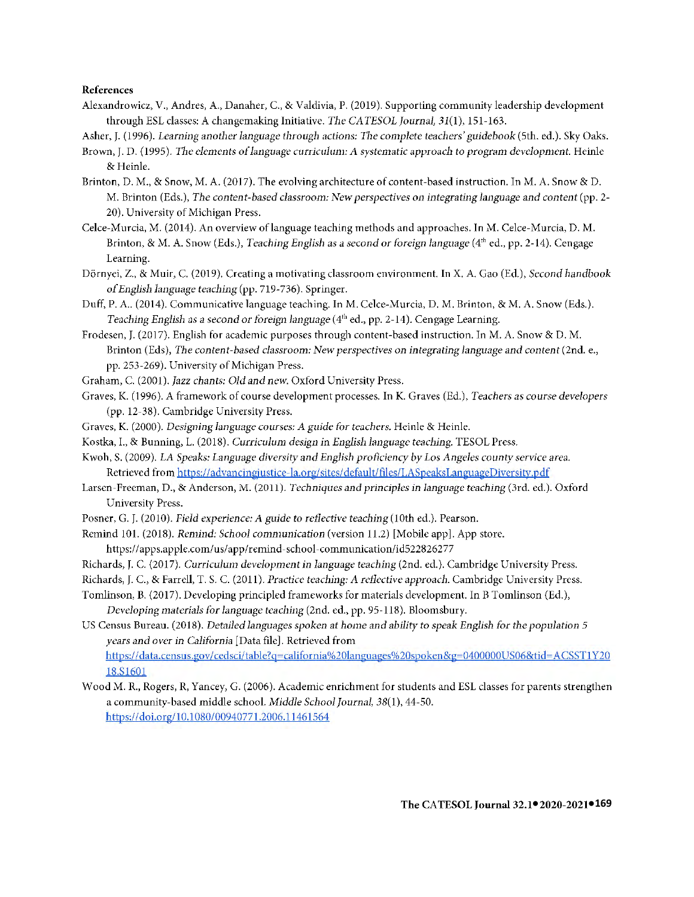## **References**

- Alexandrowicz, V., Andres, A., Danaher, C., & Valdivia, P. (2019). Supporting community leadership development through ESL classes: A changemaking Initiative. *The CATESOL Journal*,  $31(1)$ , 151-163.
- Asher, J. (1996). *Learning another language through actions: The complete teachers' guidebook* (5th. ed.). Sky Oaks.
- Brown, J. D. (1995). *The elements of language curriculum: A systematic approach to program development*. Heinle & Heinle.
- Brinton, D. M., & Snow, M.A. (2017). The evolving architecture of content-based instruction. In M.A. Snow & D. M. Brinton (Eds.), *The content-based* classroom: *New perspectives* 011 *integrating language and content* (pp. 2- 20). University of Michigan Press.
- Celce-Murcia, M. (2014). An overview oflanguage teaching methods and approaches. In M. Celce-Murcia, D. M. Brinton, & M.A. Snow (Eds.), *Teaching English as* a *second or foreign language* (4th ed., pp. 2-14). Cengage Learning.
- Dornyei, Z., & Muir, C. (2019). Creating **a** motivating classroom environment. In X. A. Gao (Ed.), *Second handbook of English language teaching* (pp. 719-736). Springer.
- Duff, P.A .. (2014). Communicative language teaching. In M. Celce-Murcia, D. M. Brinton, & M . A. Snow (Eds.). *Teaching English as a second or foreign language* (4<sup>th</sup> ed., pp. 2-14). Cengage Learning.
- Frodesen, J. (2017). English **for** academic purposes through content-based instruction. In M.A. Snow & D. M. Brinton (Eds), *The content-based classroom: New perspectives on integrating language and content (2nd. e.,* pp. 253-269). University of Michigan Press.
- Graham, C. (2001). *Jazz chants: Old and new.* Oxford University Press.
- Graves, K. (1996). A framework of course development processes. In K. Graves (Ed.), *Teachers as course developers*  (pp. 12-38). Cambridge University Press.
- Graves, K. (2000). *Designing language courses: A* guide *for teachers.* Heinle & Heinle.
- Kostka, I., & Bunning, L. (2018). *Curriculum design in English language teaching.* TESOL Press.
- Kwoh, S. (2009). *LA Speaks: Language diversity and English proflciency by Los Angeles county service area.*  Retrieved from https://advancingjustice-la.org/sites/default/files/LASpeaksLanguageDiversity.pdf
- Larsen-Freeman, D., & Anderson, M. (2011). *Techniques and principles in language teaching* (3rd. ed.). Oxford University Press.
- Posner, G. J. (2010). *Field experience: A guide to reflective teaching* (10th ed.). Pearson.
- Remind 101. (2018). *Remind: School communication* (version 11.2) [Mobile app]. App store. https://apps.apple.com/us/app/remind-school-communication/id522826277
- Richards, J.C. (2017). *Curriculum development in language teachillg* (2nd. ed.). Cambridge University Press.
- Richards, J.C., & Farrell, T. S. C. (2011). *Practice teaching: A reflective approach.* Cambridge University Press.
- Tomlinson, B. (2017). Developing principled frameworks for materials development. In B Tomlinson (Ed.), *Developing materials* for *language teacliing* (2nd. ed., pp. 95-118). Bloomsbury.
- US Census Bureau. (2018). *Detailed languages spoken* at *home and ability to speak English for the population 5 years and over in California* [Data file]. Retrieved from https:/ /data.census .gov I [cedsci/ table? q =califor nia%20langu ages%20spoken&g=0400000US06&tid= A CSST 1 Y20](https://data.census.gov/cedsci/table?q=california%20languages%20spoken&g=0400000US06&tid=ACSST1Y2018.S1601)  [18.Sl601](https://data.census.gov/cedsci/table?q=california%20languages%20spoken&g=0400000US06&tid=ACSST1Y2018.S1601)
- Wood M. R., Rogers, R, Yancey, G. (2006 ). Academic enrichment for students and ESL classes for parents strengthen a community-based middle school. *Middle School Journal,* 38(1), 44-50. https://doi.org/10.1080/00940771.2006.11461564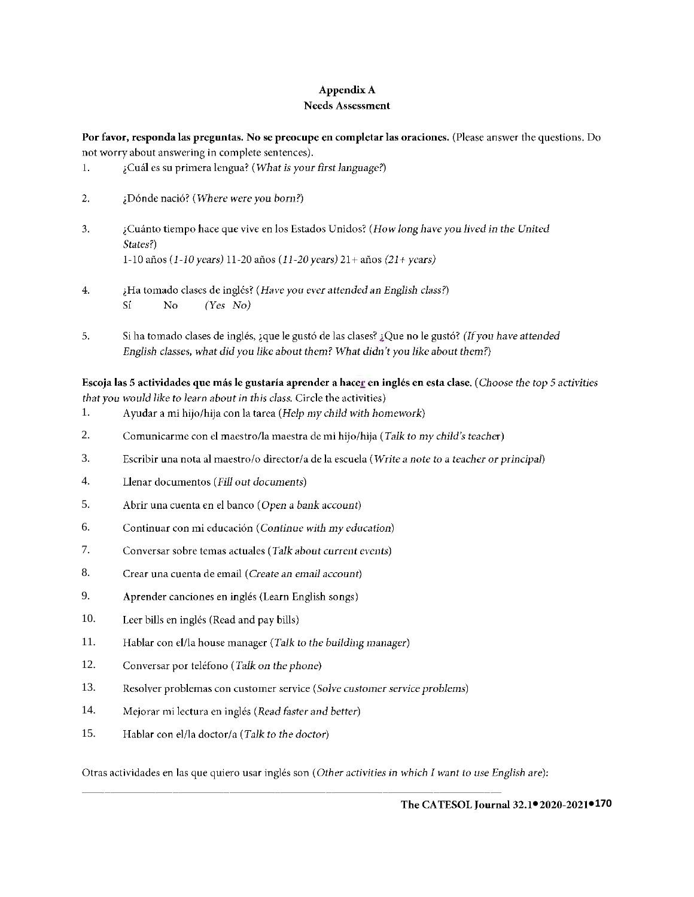# **Appendix A Needs Assessment**

**Por favor, responda las preguntas. No se preocupe en completar las oraciones.** (Please answer the questions. Do not worry about answering in complete sentences).

- 1. lCual es su primera lcngua? *(What is your first language?)*
- 2. tDonde nacio? *(Where were you* born?)
- 3. lCuanto tiempo hace que vive en los Estados Unidos? *(How long have you lived in the United States?)*  1-10 afios (1-10 *years)* 11-20 afios (11-20 *years)* 21 + afios (21 + *years)*
- 4. iHa tornado clases de inglcs? *(Have you ever attended* an *English* class?) *Si* **No** *(Yes No)*
- 5. Si ha tomado clases de inglés, ¿que le gustó de las clases? ¿Que no le gustó? (If you have attended *English classes, what did you like about them? What didn't you like about them?)*

**Escoja las** 5 **actividades que mas le gustaria aprender a hacer en ingles en esta clase.** ( *Choose the top* 5 *activities that you would like to learn about in this class.* Circle the activities)

- 1. Ayudar a mi hijo/hija con la tarea *(Help* my *child with homework)*
- 2. Comunicarme con el maestro/la maestra de mi hijo/hija ( *Talk to my child's teacher)*
- 3. Escribir una nota al maestro/o director/a de la escuela *(Write* a *note to a teacher or principal)*
- 4. Llenar documentos *(Fill out documents)*
- 5. Abrir una cuenta en el banco ( *Open a bank account)*
- 6. Continuar con mi educacion ( *Continue with my education)*
- 7. Conversar sobre temas actuales *(Talk about current events)*
- 8. Crear una cuenta de email ( *Create* an *email account)*
- 9. Aprender canciones en inglés (Learn English songs)
- 10. Leer bills en inglés (Read and pay bills)
- 11. Hablar con el/la house manager (Talk to the building manager)
- 12. Conversar por teléfono (Talk on the phone)
- 13. Resolver problemas con customer service *(Solve customer service problems)*
- 14. Mejorar mi lectura en ingles *(Read* foster *and better)*
- 15. Hablar con el/la doctor/a *(Talk to the doctor)*

Otras actividades en las que quiero usar ingles son ( *Other activities in which I want to* use *English* are):